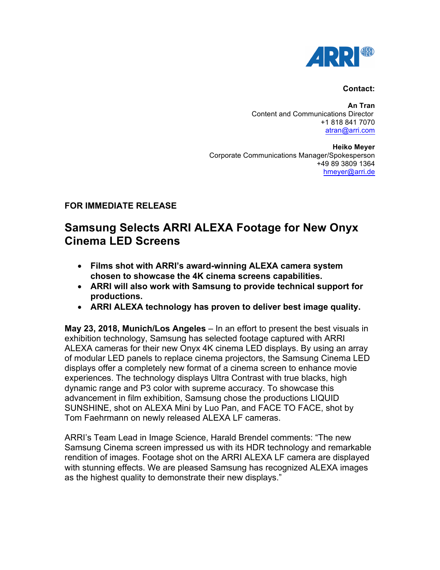

## **Contact:**

**An Tran**  Content and Communications Director +1 818 841 7070 atran@arri.com

**Heiko Meyer** Corporate Communications Manager/Spokesperson +49 89 3809 1364 hmeyer@arri.de

## **FOR IMMEDIATE RELEASE**

## **Samsung Selects ARRI ALEXA Footage for New Onyx Cinema LED Screens**

- **Films shot with ARRI's award-winning ALEXA camera system chosen to showcase the 4K cinema screens capabilities.**
- **ARRI will also work with Samsung to provide technical support for productions.**
- **ARRI ALEXA technology has proven to deliver best image quality.**

**May 23, 2018, Munich/Los Angeles** – In an effort to present the best visuals in exhibition technology, Samsung has selected footage captured with ARRI ALEXA cameras for their new Onyx 4K cinema LED displays. By using an array of modular LED panels to replace cinema projectors, the Samsung Cinema LED displays offer a completely new format of a cinema screen to enhance movie experiences. The technology displays Ultra Contrast with true blacks, high dynamic range and P3 color with supreme accuracy. To showcase this advancement in film exhibition, Samsung chose the productions LIQUID SUNSHINE, shot on ALEXA Mini by Luo Pan, and FACE TO FACE, shot by Tom Faehrmann on newly released ALEXA LF cameras.

ARRI's Team Lead in Image Science, Harald Brendel comments: "The new Samsung Cinema screen impressed us with its HDR technology and remarkable rendition of images. Footage shot on the ARRI ALEXA LF camera are displayed with stunning effects. We are pleased Samsung has recognized ALEXA images as the highest quality to demonstrate their new displays."